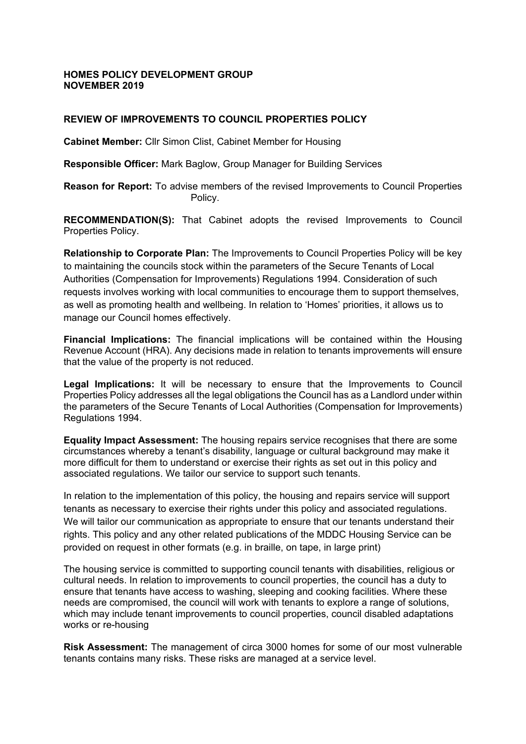### **HOMES POLICY DEVELOPMENT GROUP NOVEMBER 2019**

### **REVIEW OF IMPROVEMENTS TO COUNCIL PROPERTIES POLICY**

**Cabinet Member:** Cllr Simon Clist, Cabinet Member for Housing

**Responsible Officer:** Mark Baglow, Group Manager for Building Services

**Reason for Report:** To advise members of the revised Improvements to Council Properties Policy.

**RECOMMENDATION(S):** That Cabinet adopts the revised Improvements to Council Properties Policy.

**Relationship to Corporate Plan:** The Improvements to Council Properties Policy will be key to maintaining the councils stock within the parameters of the Secure Tenants of Local Authorities (Compensation for Improvements) Regulations 1994. Consideration of such requests involves working with local communities to encourage them to support themselves, as well as promoting health and wellbeing. In relation to 'Homes' priorities, it allows us to manage our Council homes effectively.

**Financial Implications:** The financial implications will be contained within the Housing Revenue Account (HRA). Any decisions made in relation to tenants improvements will ensure that the value of the property is not reduced.

**Legal Implications:** It will be necessary to ensure that the Improvements to Council Properties Policy addresses all the legal obligations the Council has as a Landlord under within the parameters of the Secure Tenants of Local Authorities (Compensation for Improvements) Regulations 1994.

**Equality Impact Assessment:** The housing repairs service recognises that there are some circumstances whereby a tenant's disability, language or cultural background may make it more difficult for them to understand or exercise their rights as set out in this policy and associated regulations. We tailor our service to support such tenants.

In relation to the implementation of this policy, the housing and repairs service will support tenants as necessary to exercise their rights under this policy and associated regulations. We will tailor our communication as appropriate to ensure that our tenants understand their rights. This policy and any other related publications of the MDDC Housing Service can be provided on request in other formats (e.g. in braille, on tape, in large print)

The housing service is committed to supporting council tenants with disabilities, religious or cultural needs. In relation to improvements to council properties, the council has a duty to ensure that tenants have access to washing, sleeping and cooking facilities. Where these needs are compromised, the council will work with tenants to explore a range of solutions, which may include tenant improvements to council properties, council disabled adaptations works or re-housing

**Risk Assessment:** The management of circa 3000 homes for some of our most vulnerable tenants contains many risks. These risks are managed at a service level.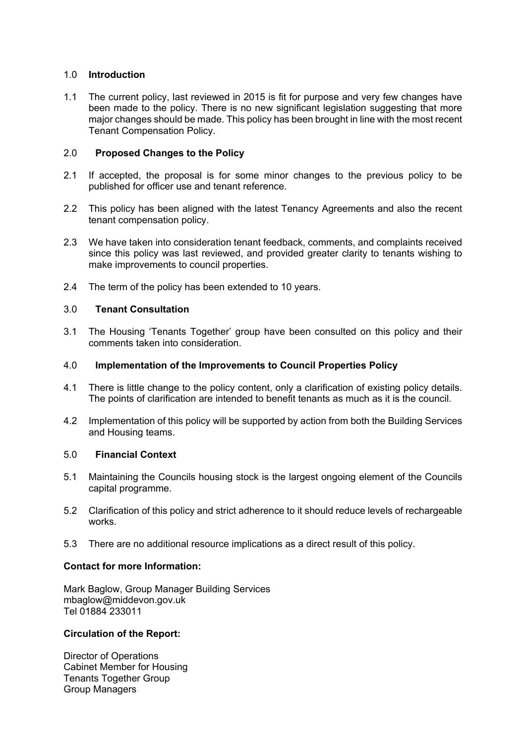# 1.0 **Introduction**

1.1 The current policy, last reviewed in 2015 is fit for purpose and very few changes have been made to the policy. There is no new significant legislation suggesting that more major changes should be made. This policy has been brought in line with the most recent Tenant Compensation Policy.

# 2.0 **Proposed Changes to the Policy**

- 2.1 If accepted, the proposal is for some minor changes to the previous policy to be published for officer use and tenant reference.
- 2.2 This policy has been aligned with the latest Tenancy Agreements and also the recent tenant compensation policy.
- 2.3 We have taken into consideration tenant feedback, comments, and complaints received since this policy was last reviewed, and provided greater clarity to tenants wishing to make improvements to council properties.
- 2.4 The term of the policy has been extended to 10 years.

# 3.0 **Tenant Consultation**

3.1 The Housing 'Tenants Together' group have been consulted on this policy and their comments taken into consideration.

### 4.0 **Implementation of the Improvements to Council Properties Policy**

- 4.1 There is little change to the policy content, only a clarification of existing policy details. The points of clarification are intended to benefit tenants as much as it is the council.
- 4.2 Implementation of this policy will be supported by action from both the Building Services and Housing teams.

### 5.0 **Financial Context**

- 5.1 Maintaining the Councils housing stock is the largest ongoing element of the Councils capital programme.
- 5.2 Clarification of this policy and strict adherence to it should reduce levels of rechargeable works.
- 5.3 There are no additional resource implications as a direct result of this policy.

### **Contact for more Information:**

Mark Baglow, Group Manager Building Services mbaglow@middevon.gov.uk Tel 01884 233011

### **Circulation of the Report:**

Director of Operations Cabinet Member for Housing Tenants Together Group Group Managers